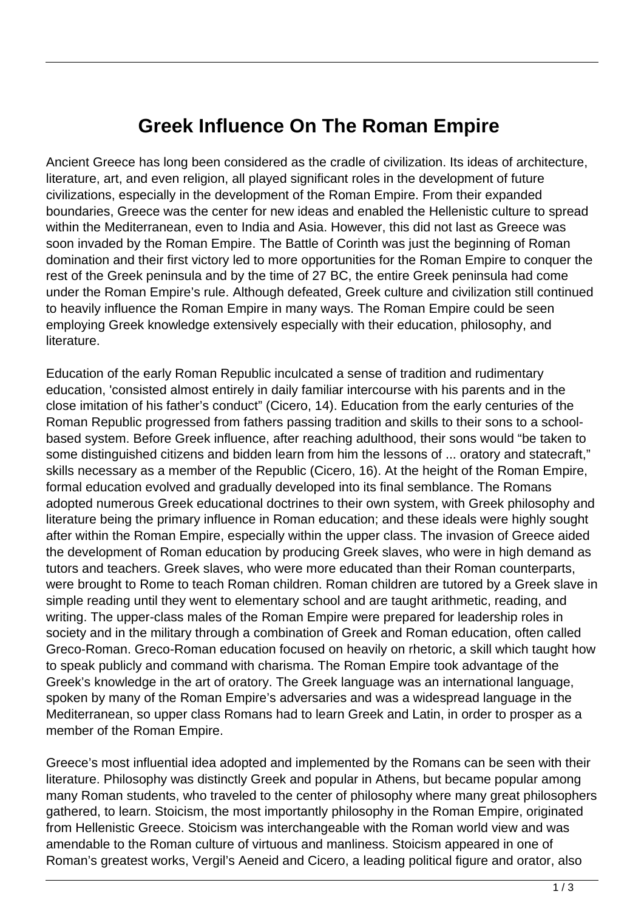## **Greek Influence On The Roman Empire**

Ancient Greece has long been considered as the cradle of civilization. Its ideas of architecture, literature, art, and even religion, all played significant roles in the development of future civilizations, especially in the development of the Roman Empire. From their expanded boundaries, Greece was the center for new ideas and enabled the Hellenistic culture to spread within the Mediterranean, even to India and Asia. However, this did not last as Greece was soon invaded by the Roman Empire. The Battle of Corinth was just the beginning of Roman domination and their first victory led to more opportunities for the Roman Empire to conquer the rest of the Greek peninsula and by the time of 27 BC, the entire Greek peninsula had come under the Roman Empire's rule. Although defeated, Greek culture and civilization still continued to heavily influence the Roman Empire in many ways. The Roman Empire could be seen employing Greek knowledge extensively especially with their education, philosophy, and literature.

Education of the early Roman Republic inculcated a sense of tradition and rudimentary education, 'consisted almost entirely in daily familiar intercourse with his parents and in the close imitation of his father's conduct" (Cicero, 14). Education from the early centuries of the Roman Republic progressed from fathers passing tradition and skills to their sons to a schoolbased system. Before Greek influence, after reaching adulthood, their sons would "be taken to some distinguished citizens and bidden learn from him the lessons of ... oratory and statecraft," skills necessary as a member of the Republic (Cicero, 16). At the height of the Roman Empire, formal education evolved and gradually developed into its final semblance. The Romans adopted numerous Greek educational doctrines to their own system, with Greek philosophy and literature being the primary influence in Roman education; and these ideals were highly sought after within the Roman Empire, especially within the upper class. The invasion of Greece aided the development of Roman education by producing Greek slaves, who were in high demand as tutors and teachers. Greek slaves, who were more educated than their Roman counterparts, were brought to Rome to teach Roman children. Roman children are tutored by a Greek slave in simple reading until they went to elementary school and are taught arithmetic, reading, and writing. The upper-class males of the Roman Empire were prepared for leadership roles in society and in the military through a combination of Greek and Roman education, often called Greco-Roman. Greco-Roman education focused on heavily on rhetoric, a skill which taught how to speak publicly and command with charisma. The Roman Empire took advantage of the Greek's knowledge in the art of oratory. The Greek language was an international language, spoken by many of the Roman Empire's adversaries and was a widespread language in the Mediterranean, so upper class Romans had to learn Greek and Latin, in order to prosper as a member of the Roman Empire.

Greece's most influential idea adopted and implemented by the Romans can be seen with their literature. Philosophy was distinctly Greek and popular in Athens, but became popular among many Roman students, who traveled to the center of philosophy where many great philosophers gathered, to learn. Stoicism, the most importantly philosophy in the Roman Empire, originated from Hellenistic Greece. Stoicism was interchangeable with the Roman world view and was amendable to the Roman culture of virtuous and manliness. Stoicism appeared in one of Roman's greatest works, Vergil's Aeneid and Cicero, a leading political figure and orator, also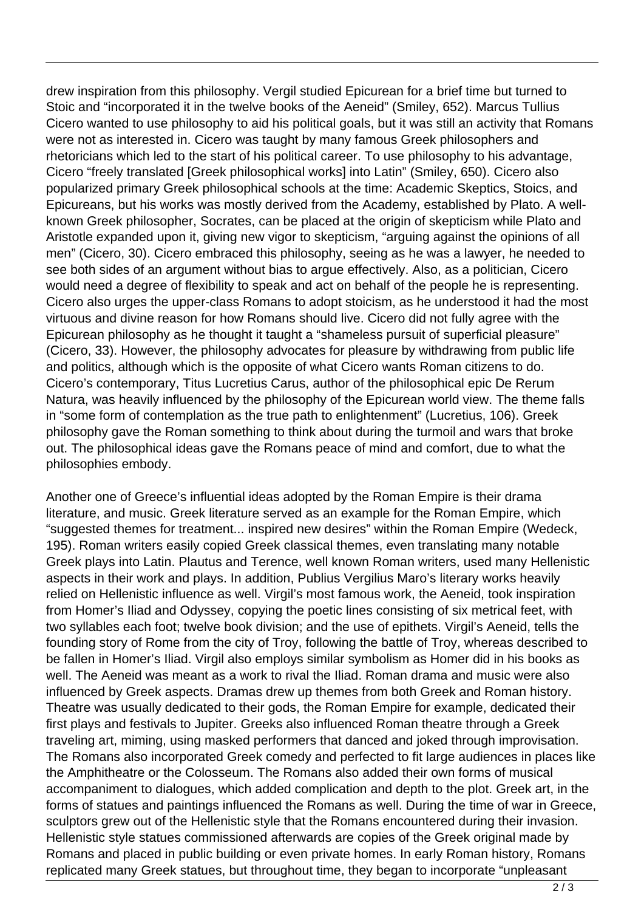drew inspiration from this philosophy. Vergil studied Epicurean for a brief time but turned to Stoic and "incorporated it in the twelve books of the Aeneid" (Smiley, 652). Marcus Tullius Cicero wanted to use philosophy to aid his political goals, but it was still an activity that Romans were not as interested in. Cicero was taught by many famous Greek philosophers and rhetoricians which led to the start of his political career. To use philosophy to his advantage, Cicero "freely translated [Greek philosophical works] into Latin" (Smiley, 650). Cicero also popularized primary Greek philosophical schools at the time: Academic Skeptics, Stoics, and Epicureans, but his works was mostly derived from the Academy, established by Plato. A wellknown Greek philosopher, Socrates, can be placed at the origin of skepticism while Plato and Aristotle expanded upon it, giving new vigor to skepticism, "arguing against the opinions of all men" (Cicero, 30). Cicero embraced this philosophy, seeing as he was a lawyer, he needed to see both sides of an argument without bias to argue effectively. Also, as a politician, Cicero would need a degree of flexibility to speak and act on behalf of the people he is representing. Cicero also urges the upper-class Romans to adopt stoicism, as he understood it had the most virtuous and divine reason for how Romans should live. Cicero did not fully agree with the Epicurean philosophy as he thought it taught a "shameless pursuit of superficial pleasure" (Cicero, 33). However, the philosophy advocates for pleasure by withdrawing from public life and politics, although which is the opposite of what Cicero wants Roman citizens to do. Cicero's contemporary, Titus Lucretius Carus, author of the philosophical epic De Rerum Natura, was heavily influenced by the philosophy of the Epicurean world view. The theme falls in "some form of contemplation as the true path to enlightenment" (Lucretius, 106). Greek philosophy gave the Roman something to think about during the turmoil and wars that broke out. The philosophical ideas gave the Romans peace of mind and comfort, due to what the philosophies embody.

Another one of Greece's influential ideas adopted by the Roman Empire is their drama literature, and music. Greek literature served as an example for the Roman Empire, which "suggested themes for treatment... inspired new desires" within the Roman Empire (Wedeck, 195). Roman writers easily copied Greek classical themes, even translating many notable Greek plays into Latin. Plautus and Terence, well known Roman writers, used many Hellenistic aspects in their work and plays. In addition, Publius Vergilius Maro's literary works heavily relied on Hellenistic influence as well. Virgil's most famous work, the Aeneid, took inspiration from Homer's Iliad and Odyssey, copying the poetic lines consisting of six metrical feet, with two syllables each foot; twelve book division; and the use of epithets. Virgil's Aeneid, tells the founding story of Rome from the city of Troy, following the battle of Troy, whereas described to be fallen in Homer's Iliad. Virgil also employs similar symbolism as Homer did in his books as well. The Aeneid was meant as a work to rival the Iliad. Roman drama and music were also influenced by Greek aspects. Dramas drew up themes from both Greek and Roman history. Theatre was usually dedicated to their gods, the Roman Empire for example, dedicated their first plays and festivals to Jupiter. Greeks also influenced Roman theatre through a Greek traveling art, miming, using masked performers that danced and joked through improvisation. The Romans also incorporated Greek comedy and perfected to fit large audiences in places like the Amphitheatre or the Colosseum. The Romans also added their own forms of musical accompaniment to dialogues, which added complication and depth to the plot. Greek art, in the forms of statues and paintings influenced the Romans as well. During the time of war in Greece, sculptors grew out of the Hellenistic style that the Romans encountered during their invasion. Hellenistic style statues commissioned afterwards are copies of the Greek original made by Romans and placed in public building or even private homes. In early Roman history, Romans replicated many Greek statues, but throughout time, they began to incorporate "unpleasant